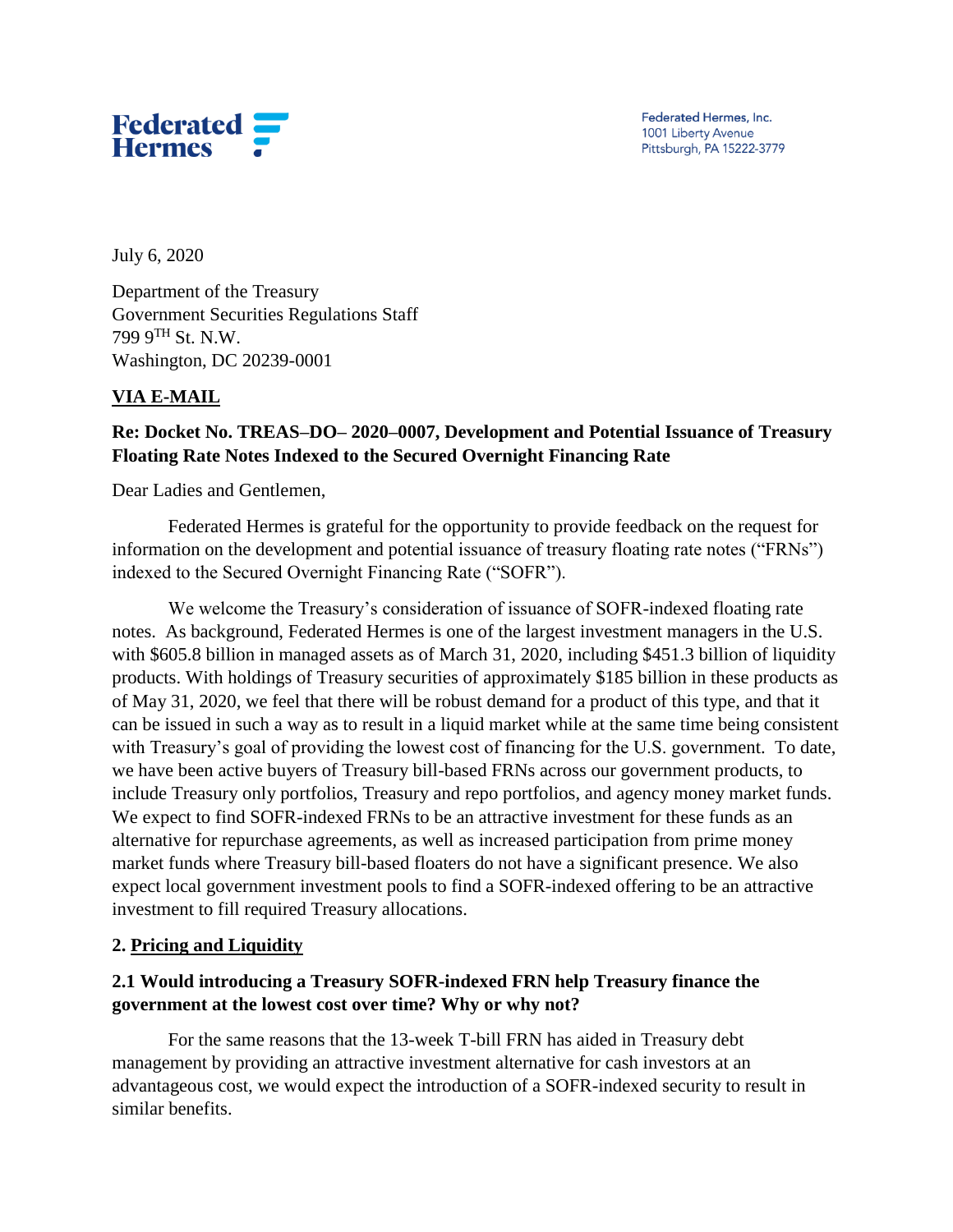

Federated Hermes, Inc. 1001 Liberty Avenue Pittsburgh, PA 15222-3779

July 6, 2020

Department of the Treasury Government Securities Regulations Staff 799 9TH St. N.W. Washington, DC 20239-0001

#### **VIA E-MAIL**

## **Re: Docket No. TREAS–DO– 2020–0007, Development and Potential Issuance of Treasury Floating Rate Notes Indexed to the Secured Overnight Financing Rate**

Dear Ladies and Gentlemen,

Federated Hermes is grateful for the opportunity to provide feedback on the request for information on the development and potential issuance of treasury floating rate notes ("FRNs") indexed to the Secured Overnight Financing Rate ("SOFR").

We welcome the Treasury's consideration of issuance of SOFR-indexed floating rate notes. As background, Federated Hermes is one of the largest investment managers in the U.S. with \$605.8 billion in managed assets as of March 31, 2020, including \$451.3 billion of liquidity products. With holdings of Treasury securities of approximately \$185 billion in these products as of May 31, 2020, we feel that there will be robust demand for a product of this type, and that it can be issued in such a way as to result in a liquid market while at the same time being consistent with Treasury's goal of providing the lowest cost of financing for the U.S. government. To date, we have been active buyers of Treasury bill-based FRNs across our government products, to include Treasury only portfolios, Treasury and repo portfolios, and agency money market funds. We expect to find SOFR-indexed FRNs to be an attractive investment for these funds as an alternative for repurchase agreements, as well as increased participation from prime money market funds where Treasury bill-based floaters do not have a significant presence. We also expect local government investment pools to find a SOFR-indexed offering to be an attractive investment to fill required Treasury allocations.

#### **2. Pricing and Liquidity**

## **2.1 Would introducing a Treasury SOFR-indexed FRN help Treasury finance the government at the lowest cost over time? Why or why not?**

For the same reasons that the 13-week T-bill FRN has aided in Treasury debt management by providing an attractive investment alternative for cash investors at an advantageous cost, we would expect the introduction of a SOFR-indexed security to result in similar benefits.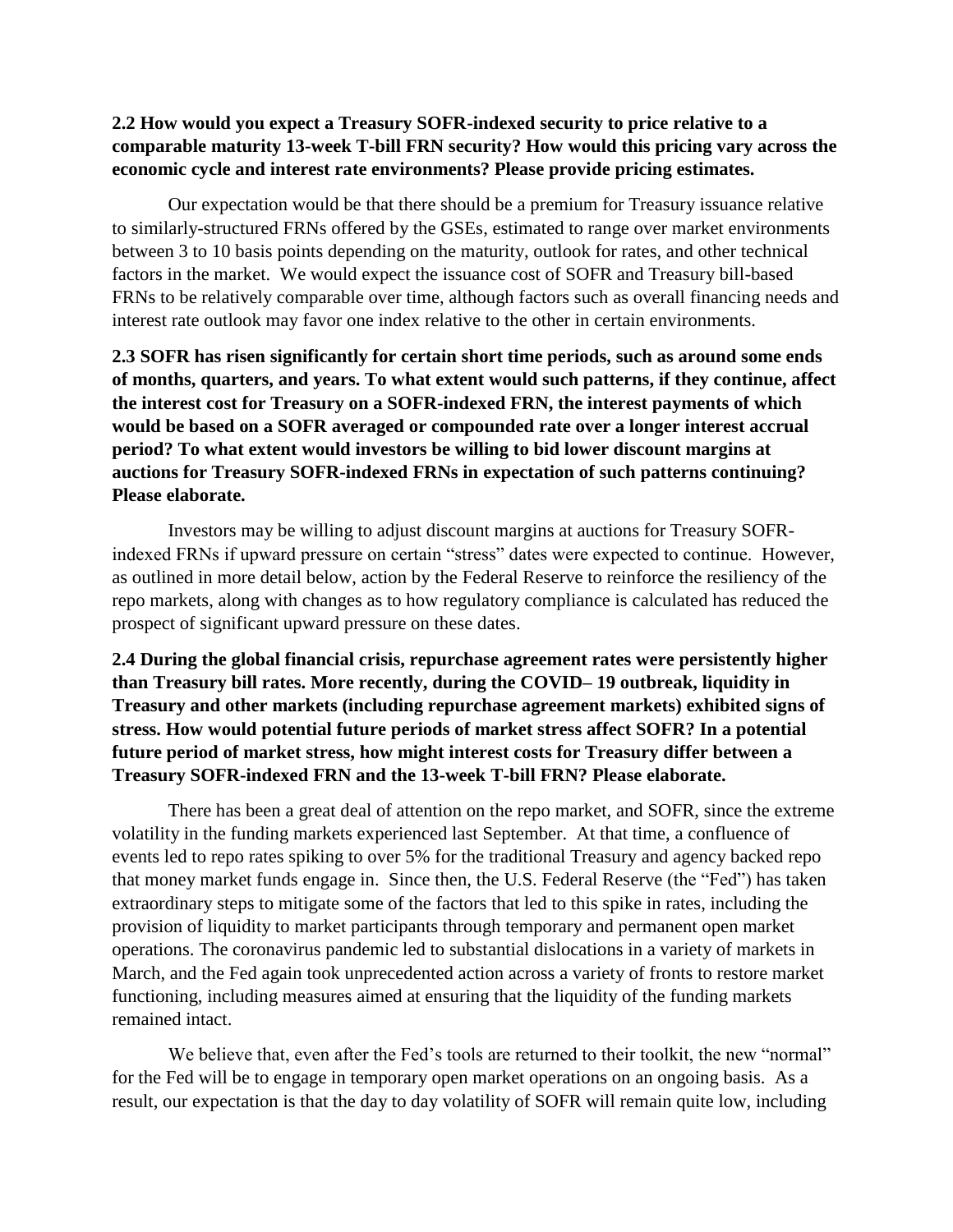#### **2.2 How would you expect a Treasury SOFR-indexed security to price relative to a comparable maturity 13-week T-bill FRN security? How would this pricing vary across the economic cycle and interest rate environments? Please provide pricing estimates.**

Our expectation would be that there should be a premium for Treasury issuance relative to similarly-structured FRNs offered by the GSEs, estimated to range over market environments between 3 to 10 basis points depending on the maturity, outlook for rates, and other technical factors in the market. We would expect the issuance cost of SOFR and Treasury bill-based FRNs to be relatively comparable over time, although factors such as overall financing needs and interest rate outlook may favor one index relative to the other in certain environments.

**2.3 SOFR has risen significantly for certain short time periods, such as around some ends of months, quarters, and years. To what extent would such patterns, if they continue, affect the interest cost for Treasury on a SOFR-indexed FRN, the interest payments of which would be based on a SOFR averaged or compounded rate over a longer interest accrual period? To what extent would investors be willing to bid lower discount margins at auctions for Treasury SOFR-indexed FRNs in expectation of such patterns continuing? Please elaborate.** 

Investors may be willing to adjust discount margins at auctions for Treasury SOFRindexed FRNs if upward pressure on certain "stress" dates were expected to continue. However, as outlined in more detail below, action by the Federal Reserve to reinforce the resiliency of the repo markets, along with changes as to how regulatory compliance is calculated has reduced the prospect of significant upward pressure on these dates.

**2.4 During the global financial crisis, repurchase agreement rates were persistently higher than Treasury bill rates. More recently, during the COVID– 19 outbreak, liquidity in Treasury and other markets (including repurchase agreement markets) exhibited signs of stress. How would potential future periods of market stress affect SOFR? In a potential future period of market stress, how might interest costs for Treasury differ between a Treasury SOFR-indexed FRN and the 13-week T-bill FRN? Please elaborate.** 

There has been a great deal of attention on the repo market, and SOFR, since the extreme volatility in the funding markets experienced last September. At that time, a confluence of events led to repo rates spiking to over 5% for the traditional Treasury and agency backed repo that money market funds engage in. Since then, the U.S. Federal Reserve (the "Fed") has taken extraordinary steps to mitigate some of the factors that led to this spike in rates, including the provision of liquidity to market participants through temporary and permanent open market operations. The coronavirus pandemic led to substantial dislocations in a variety of markets in March, and the Fed again took unprecedented action across a variety of fronts to restore market functioning, including measures aimed at ensuring that the liquidity of the funding markets remained intact.

We believe that, even after the Fed's tools are returned to their toolkit, the new "normal" for the Fed will be to engage in temporary open market operations on an ongoing basis. As a result, our expectation is that the day to day volatility of SOFR will remain quite low, including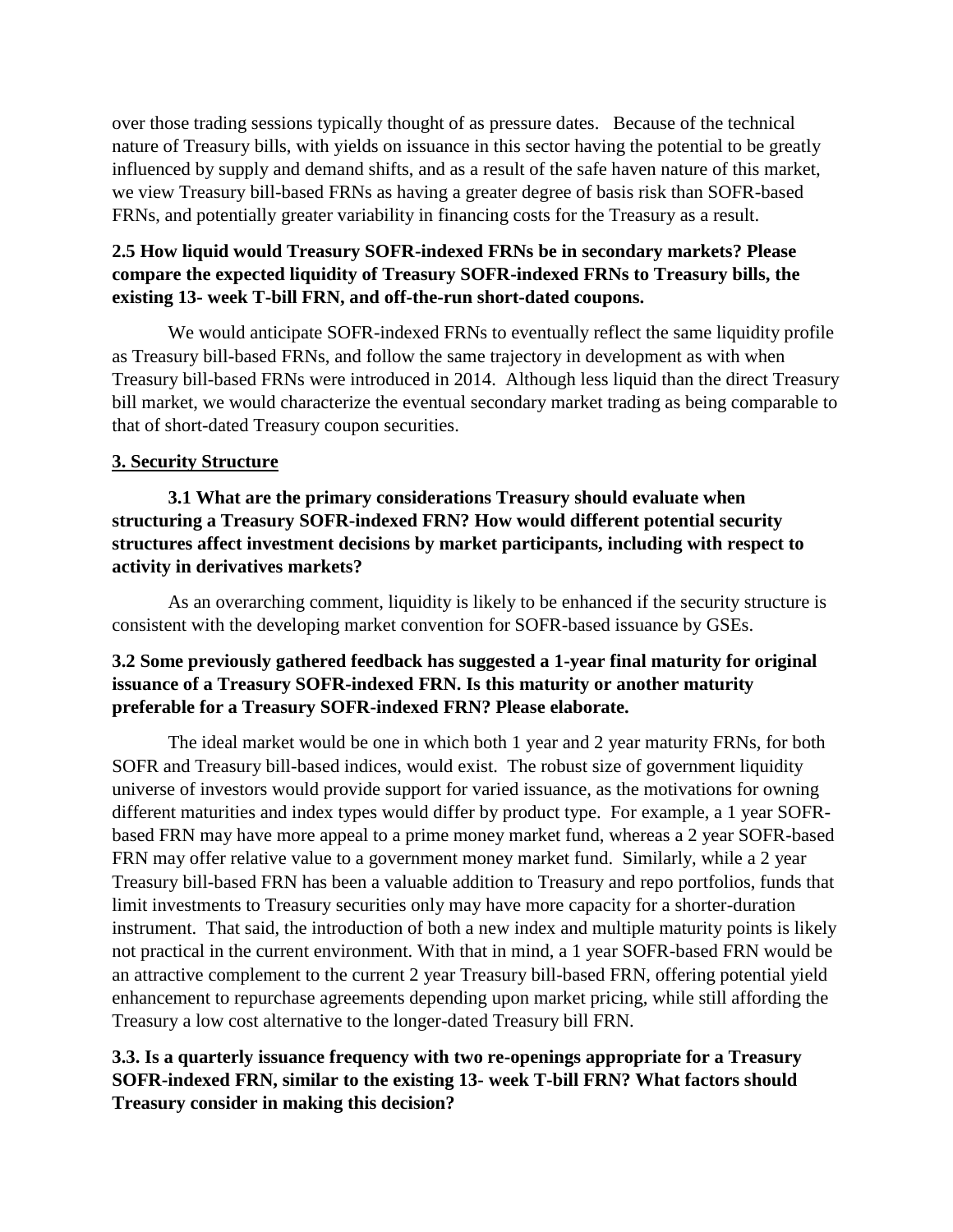over those trading sessions typically thought of as pressure dates. Because of the technical nature of Treasury bills, with yields on issuance in this sector having the potential to be greatly influenced by supply and demand shifts, and as a result of the safe haven nature of this market, we view Treasury bill-based FRNs as having a greater degree of basis risk than SOFR-based FRNs, and potentially greater variability in financing costs for the Treasury as a result.

## **2.5 How liquid would Treasury SOFR-indexed FRNs be in secondary markets? Please compare the expected liquidity of Treasury SOFR-indexed FRNs to Treasury bills, the existing 13- week T-bill FRN, and off-the-run short-dated coupons.**

We would anticipate SOFR-indexed FRNs to eventually reflect the same liquidity profile as Treasury bill-based FRNs, and follow the same trajectory in development as with when Treasury bill-based FRNs were introduced in 2014. Although less liquid than the direct Treasury bill market, we would characterize the eventual secondary market trading as being comparable to that of short-dated Treasury coupon securities.

## **3. Security Structure**

**3.1 What are the primary considerations Treasury should evaluate when structuring a Treasury SOFR-indexed FRN? How would different potential security structures affect investment decisions by market participants, including with respect to activity in derivatives markets?** 

As an overarching comment, liquidity is likely to be enhanced if the security structure is consistent with the developing market convention for SOFR-based issuance by GSEs.

## **3.2 Some previously gathered feedback has suggested a 1-year final maturity for original issuance of a Treasury SOFR-indexed FRN. Is this maturity or another maturity preferable for a Treasury SOFR-indexed FRN? Please elaborate.**

The ideal market would be one in which both 1 year and 2 year maturity FRNs, for both SOFR and Treasury bill-based indices, would exist. The robust size of government liquidity universe of investors would provide support for varied issuance, as the motivations for owning different maturities and index types would differ by product type. For example, a 1 year SOFRbased FRN may have more appeal to a prime money market fund, whereas a 2 year SOFR-based FRN may offer relative value to a government money market fund. Similarly, while a 2 year Treasury bill-based FRN has been a valuable addition to Treasury and repo portfolios, funds that limit investments to Treasury securities only may have more capacity for a shorter-duration instrument. That said, the introduction of both a new index and multiple maturity points is likely not practical in the current environment. With that in mind, a 1 year SOFR-based FRN would be an attractive complement to the current 2 year Treasury bill-based FRN, offering potential yield enhancement to repurchase agreements depending upon market pricing, while still affording the Treasury a low cost alternative to the longer-dated Treasury bill FRN.

# **3.3. Is a quarterly issuance frequency with two re-openings appropriate for a Treasury SOFR-indexed FRN, similar to the existing 13- week T-bill FRN? What factors should Treasury consider in making this decision?**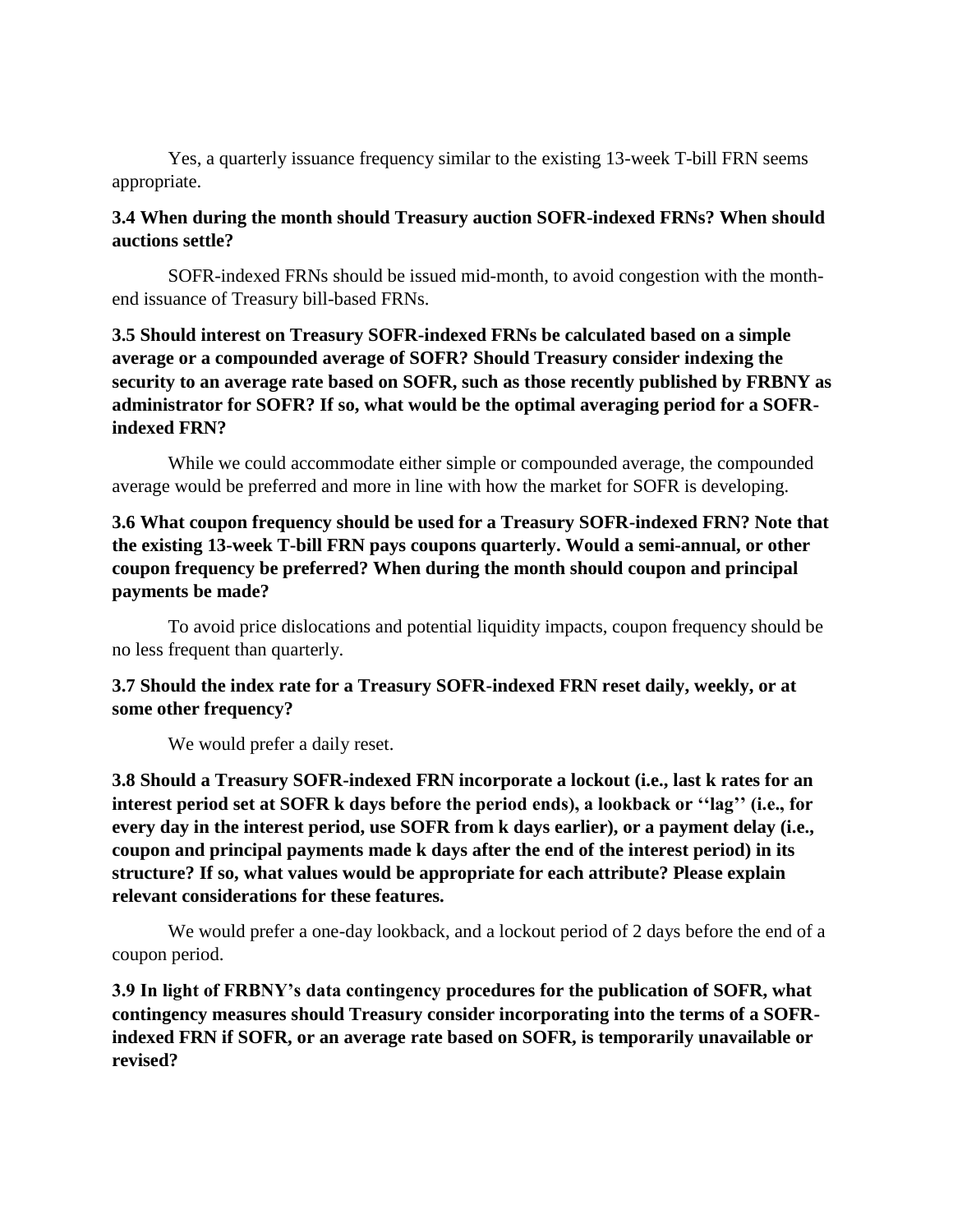Yes, a quarterly issuance frequency similar to the existing 13-week T-bill FRN seems appropriate.

#### **3.4 When during the month should Treasury auction SOFR-indexed FRNs? When should auctions settle?**

SOFR-indexed FRNs should be issued mid-month, to avoid congestion with the monthend issuance of Treasury bill-based FRNs.

## **3.5 Should interest on Treasury SOFR-indexed FRNs be calculated based on a simple average or a compounded average of SOFR? Should Treasury consider indexing the security to an average rate based on SOFR, such as those recently published by FRBNY as administrator for SOFR? If so, what would be the optimal averaging period for a SOFRindexed FRN?**

While we could accommodate either simple or compounded average, the compounded average would be preferred and more in line with how the market for SOFR is developing.

## **3.6 What coupon frequency should be used for a Treasury SOFR-indexed FRN? Note that the existing 13-week T-bill FRN pays coupons quarterly. Would a semi-annual, or other coupon frequency be preferred? When during the month should coupon and principal payments be made?**

To avoid price dislocations and potential liquidity impacts, coupon frequency should be no less frequent than quarterly.

## **3.7 Should the index rate for a Treasury SOFR-indexed FRN reset daily, weekly, or at some other frequency?**

We would prefer a daily reset.

**3.8 Should a Treasury SOFR-indexed FRN incorporate a lockout (i.e., last k rates for an interest period set at SOFR k days before the period ends), a lookback or ''lag'' (i.e., for every day in the interest period, use SOFR from k days earlier), or a payment delay (i.e., coupon and principal payments made k days after the end of the interest period) in its structure? If so, what values would be appropriate for each attribute? Please explain relevant considerations for these features.** 

We would prefer a one-day lookback, and a lockout period of 2 days before the end of a coupon period.

**3.9 In light of FRBNY's data contingency procedures for the publication of SOFR, what contingency measures should Treasury consider incorporating into the terms of a SOFRindexed FRN if SOFR, or an average rate based on SOFR, is temporarily unavailable or revised?**